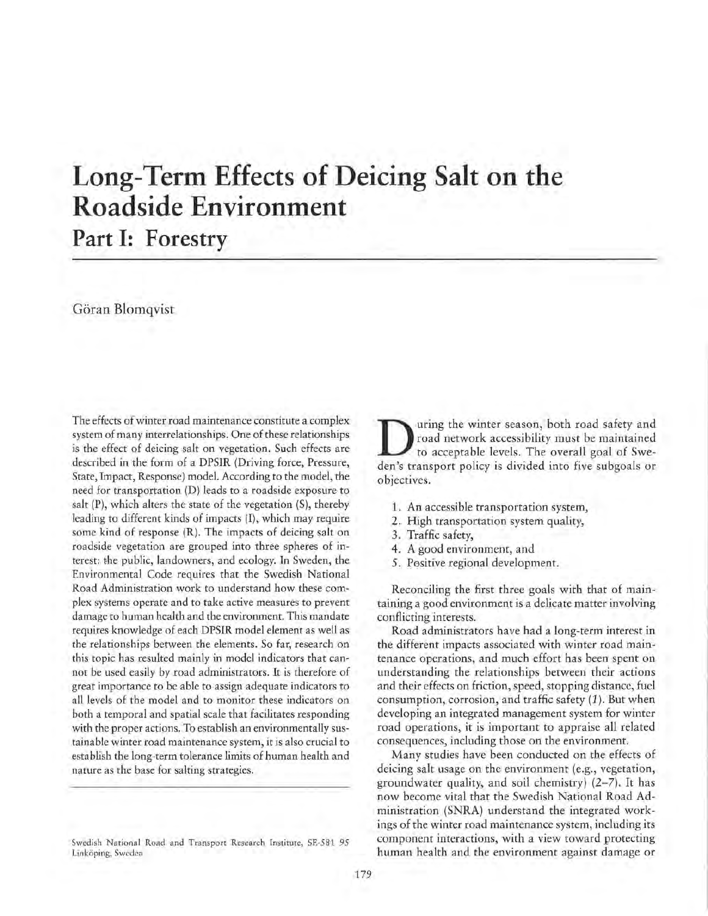# **Long-Term Effects of Deicing Salt on the Roadside Environment**

# Part I: Forestry

# Göran Blomqvist

The effects of winter road maintenance constitute a complex system of many interrelationships. One of these relationships is the effect of deicing salt on vegetation. Such effects are described in the form of a DPSIR (Driving force, Pressure, State, Impact, Response) model. According to the model, the need for transportation (D) leads to a roadside exposure to salt (P), which alters the state of the vegetation (S), thereby leading to different kinds of impacts (I), which may require some kind of response (R). The impacts of deicing salt on roadside vegetation are grouped into three spheres of interest: the public, landowners, and ecology. In Sweden, the Environmental Code requires that the Swedish National Road Administration work to understand how these complex systems operate and to take active measures to prevent damage to human health and the environment. This mandate requires knowledge of each DPSIR model element as well as the relationships between the elements. So far, research on this topic has resulted mainly in model indicators that cannot be used easily by road administrators. It is therefore of great importance to be able to assign adequate indicators to all levels of the model and to monitor these indicators on both a temporal and spatial scale that facilitates responding with the proper actions. To establish an environmentally sustainable winter road maintenance system, it is also crucial to establish the long-term tolerance limits of human health and nature as the base for salting strategies.

**D** uring the winter season, both road safety and road network accessibility must be maintained to acceptable levels. The overall goal of Sweden's transport policy is divided into five subgoals or road network accessibility must be maintained den's transport policy is divided into five subgoals or objectives.

- 1. An accessible transportation system,
- 2. High transportation system quality,
- 3. Traffic safety,
- 4. A good environment, and
- 5. Positive regional development.

Reconciling the first three goals with that of maintaining a good environment is a delicate matter involving conflicting interests.

Road administrators have had a long-term interest in the different impacts associated with winter road maintenance operations, and much effort has been spent on understanding the relationships between their actions and their effects on friction, speed, stopping distance, fuel consumption, corrosion, and traffic safety (1 ). But when developing an integrated management system for winter road operations, it is important to appraise all related consequences, including those on the environment.

Many studies have been conducted on the effects of deicing salt usage on the environment (e.g., vegetation, groundwater quality, and soil chemistry) (2-7). It has now become vital that the Swedish National Road Administration (SNRA) understand the integrated workings of the winter road maintenance system, including its component interactions, with a view toward protecting human health and the environment against damage or

Swedish National Road and Transport Research Institute, SE-581 95 Linkoping, Sweden.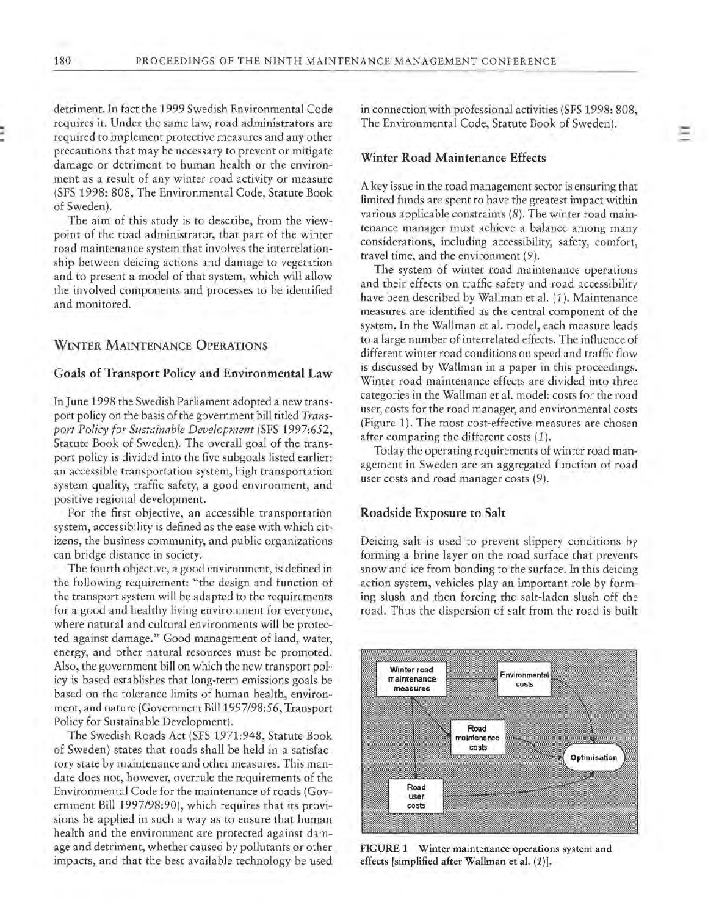detriment. In fact the 1999 Swedish Environmental Code requires it. Under the same law, road administrators are required to implement protective measures and any other precautions that may be necessary to prevent or mitigate damage or detriment to human health or the environment as a result of any winter road activity or measure (SFS 1998: 808, The Environmental Code, Statute Book of Sweden).

The aim of this study is to describe, from the viewpoint of the road administrator, that part of the winter road maintenance system that involves the interrelationship between deicing actions and damage to vegetation and to present a model of that system, which will allow the involved components and processes to be identified and monitored.

### **WINTER MAINTENANCE OPERATIONS**

#### **Goals of Transport Policy and Environmental Law**

In June 1998 the Swedish Parliament adopted a new transport policy on the basis of the government bill titled *Transport Policy for Sustainable Development* (SFS 1997:652, Statute Book of Sweden). The overall goal of the transport policy is divided into the five subgoals listed earlier: an accessible transportation system, high transportation system quality, traffic safety, a good environment, and positive regional development.

For the first objective, an accessible transportation system, accessibility is defined as the ease with which citizens, the business community, and public organizations can bridge distance in society.

The fourth objective, a good environment, is defined in the following requirement: "the design and function of the transport system will be adapted to the requirements for a good and healthy living environment for everyone, where natural and cultural environments will be protected against damage." Good management of land, water, energy, and other natural resources must be promoted. Also, the government bill on which the new transport policy is based establishes that long-term emissions goals be based on the tolerance limits of human health, environment, and nature (Government Bill 1997/98:56, Transport Policy for Sustainable Development).

The Swedish Roads Act (SFS 1971:948, Statute Book of Sweden) states that roads shall be held in a satisfactory state by maintenance and other measures. This mandate does not, however, overrule the requirements of the Environmental Code for the maintenance of roads (Government Bill 1997/98:90), which requires that its provisions be applied in such a way as to ensure that human health and the environment are protected against damage and detriment, whether caused by pollutants or other impacts, and that the best available technology be used in connection with professional activities (SFS 1998: 808, The Environmental Code, Statute Book of Sweden).

# **Winter Road Maintenance Effects**

A key issue in the road management sector is ensuring that limited funds are spent to have the greatest impact within various applicable constraints (8). The winter road maintenance manager must achieve a balance among many considerations, including accessibility, safety, comfort, travel time, and the environment (9).

The system of winter road maintenance operations and their effects on traffic safety and road accessibility have been described by Wallman et al. (1 ). Maintenance measures are identified as the central component of the system. In the Wallman et al. model, each measure leads to a large number of interrelated effects. The influence of different winter road conditions on speed and traffic flow is discussed by Wallman in a paper in this proceedings. Winter road maintenance effects are divided into three categories in the Wallman et al. model: costs for the road user, costs for the road manager, and environmental costs (Figure 1). The most cost-effective measures are chosen after comparing the different costs  $(1)$ .

Today the operating requirements of winter road management **in** Sweden are an aggregated function of road user costs and road manager costs (9).

#### **Roadside Exposure to Salt**

Deicing sait is used to prevent slippery conditions by forming a brine layer on the road surface that prevents snow and ice from bonding to the surface. In this deicing action system, vehicles play an important role by forming slush and then forcing the salt-laden slush off the road. Thus the dispersion of salt from the road is built



FIGURE 1 Winter maintenance operations system and effects [simplified after Wallman et al. (1)].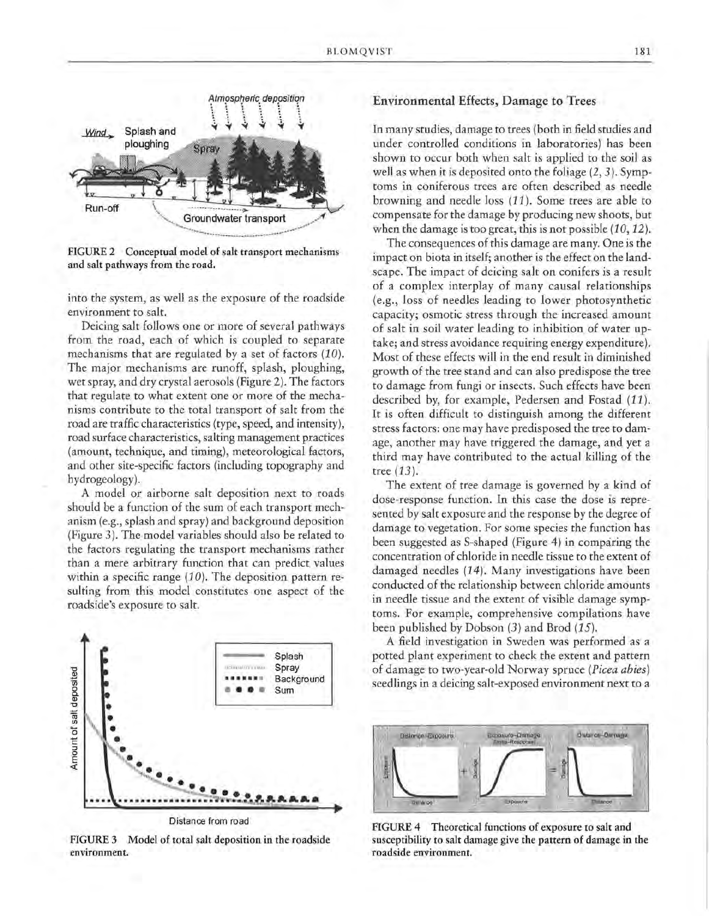

**FIGURE 2 Conceptual model of salt transport mechanisms and salt pathways from the road.** 

into the system, as well as the exposure of the roadside environment to salt.

Deicing salt follows one or more of several pathways from the road, each of which is coupled to separate mechanisms that are regulated by a set of factors (10). The major mechanisms are runoff, splash, ploughing, wet spray, and dry crystal aerosols (Figure 2). The factors that regulate to what extent one or more of the mechanisms contribute to the total transport of salt from the road are traffic characteristics (type, speed, and intensity), road surface characteristics, salting management practices (amount, technique, and timing), meteorological factors, and other site-specific factors (including topography and hydrogeology).

A model or airborne salt deposition next to roads should be a function of the sum of each transport mechanism (e.g., splash and spray) and background deposition (Figure 3). The model variables should also be related to the factors regulating the transport mechanisms rather than a mere arbitrary function that can predict values within a specific range (10). The deposition pattern resulting from this model constitutes one aspect of the roadside's exposure to salt.



FIGURE 3 Model of total salt deposition in the roadside environment.

# Environmental Effects, Damage to Trees

In many studies, damage to trees (both in field studies and under controlled conditions in laboratories) has been shown to occur both when salt is applied to the soil as well as when it is deposited onto the foliage (2, 3). Symptoms in coniferous trees are often described as needle browning and needle loss ( 11). Some trees are able to compensate for the damage by producing new shoots, but when the damage is too great, this is not possible (10, 12).

The consequences of this damage are many. One is the impact on biota in itself; another is the effect on the landscape. The impact of deicing salt on conifers is a result of a complex interplay of many causal relationships (e.g., loss of needles leading to lower photosynthetic capacity; osmotic stress through the increased amount of salt in soil water leading to inhibition of water uptake; and stress avoidance requiring energy expenditure). Most of these effects will in the end result in diminished growth of the tree stand and can also predispose the tree to damage from fungi or insects. Such effects have been described by, for example, Pedersen and Fostad (11). It is often difficult to distinguish among the different stress factors: one may have predisposed the tree to damage, another may have triggered the damage, and yet a third may have contributed to the actual killing of the tree (13).

The extent of tree damage is governed by a kind of dose-response function. In this case the dose is represented by salt exposure and the response by the degree of damage to vegetation. For some species the function has been suggested as S-shaped (Figure 4) in comparing the concentration of chloride in needle tissue to the extent of damaged needles (14). Many investigations have been conducted of the relationship between chloride amounts in needle tissue and the extent of visible damage symptoms. For example, comprehensive compilations have been published by Dobson (3) and Brod (15).

A field investigation in Sweden was performed as a potted plant experiment to check the extent and pattern of damage to two-year-old Norway spruce *(Picea abies)*  seedlings in a deicing salt-exposed environment next to a



FIGURE 4 Theoretical functions of exposure to salt and susceptibility to salt damage give the pattern of damage in the roadside environment.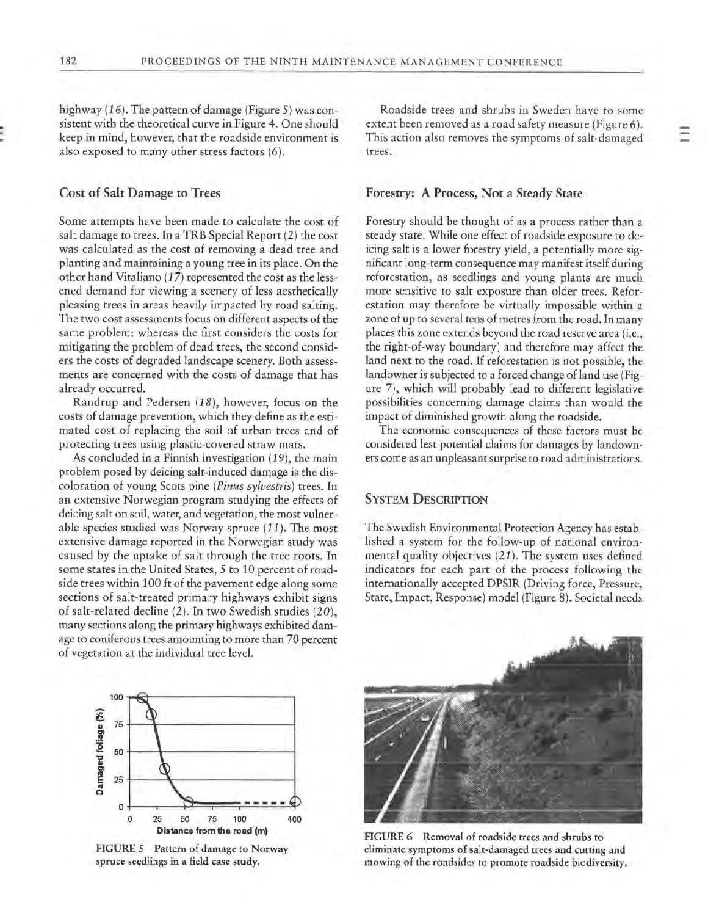highway (16). The pattern of damage (Figure 5) was consistent with the theoretical curve in Figure 4. One should keep in mind, however, that the roadside environment is also exposed to many other stress factors (6).

# **Cost of Salt Damage to Trees**

Some attempts have been made to calculate the cost of salt damage to trees. In a TRB Special Report (2) the cost was calculated as the cost of removing a dead tree and planting and maintaining a young tree in its place. On the other hand Vitaliano (17) represented the cost as the lessened demand for viewing a scenery of less aesthetically pleasing trees in areas heavily impacted by road salting. The two cost assessments focus on different aspects of the same problem: whereas the first considers the costs for mitigating the problem of dead trees, the second considers the costs of degraded landscape scenery. Both assessments are concerned with the costs of damage that has already occurred.

Randrup and Pedersen (18), however, focus on the costs of damage prevention, which they define as the estimated cost of replacing the soil of urban trees and of protecting trees using plastic-covered straw mats.

As concluded in a Finnish investigation (19), the main problem posed by deicing salt-induced damage is the discoloration of young Scots pine *(Pinus sylvestris)* trees. In an extensive Norwegian program studying the effects of deicing salt on soil, water, and vegetation, the most vulnerable species studied was Norway spruce (11). The most extensive damage reported in the Norwegian study was caused by the uptake of salt through the tree roots. In some states in the United States, 5 to 10 percent of roadside trees within 100 ft of the pavement edge along some sections of salt-treated primary highways exhibit signs of salt-related decline (2). In two Swedish studies (20), many sections along the primary highways exhibited damage to coniferous trees amounting to more than 70 percent of vegetation at the individual tree level.

Roadside trees and shrubs in Sweden have to some extent been removed as a road safety measure (Figure 6). This action also removes the symptoms of salt-damaged trees.

#### **Forestry: A Process, Not a Steady State**

Forestry should be thought of as a process rather than a steady state. While one effect of roadside exposure to deicing salt is a lower forestry yield, a potentially more significant long-term consequence may manifest itself during reforestation, as seedlings and young plants are much more sensitive to salt exposure than older trees. Reforestation may therefore be virtually impossible within a zone of up to several tens of metres from the road. In many places this zone extends beyond the road reserve area (i.e., the right-of-way boundary) and therefore may affect the land next to the road. If reforestation is not possible, the landowner is subjected to a forced change of land use (Figure 7), which will probably lead to different legislative possibilities concerning damage claims than would the impact of diminished growth along the roadside.

The economic consequences of these factors must be considered lest potential claims for damages by landowners come as an unpleasant surprise to road administrations.

# **SYSTEM DESCRIPTION**

The Swedish Environmental Protection Agency has established a system for the follow-up of national environmental quality objectives (21). The system uses defined indicators for each part of the process following the internationally accepted DPSIR (Driving force, Pressure, State, Impact, Response) model (Figure 8). Societal needs



FIGURE *5* Pattern of damage to Norway spruce seedlings in a field case study.



FIGURE 6 Removal of roadside trees and shrubs to eliminate symptoms of salt-damaged trees and cutting and mowing of the roadsides to promote roadside biodiversity.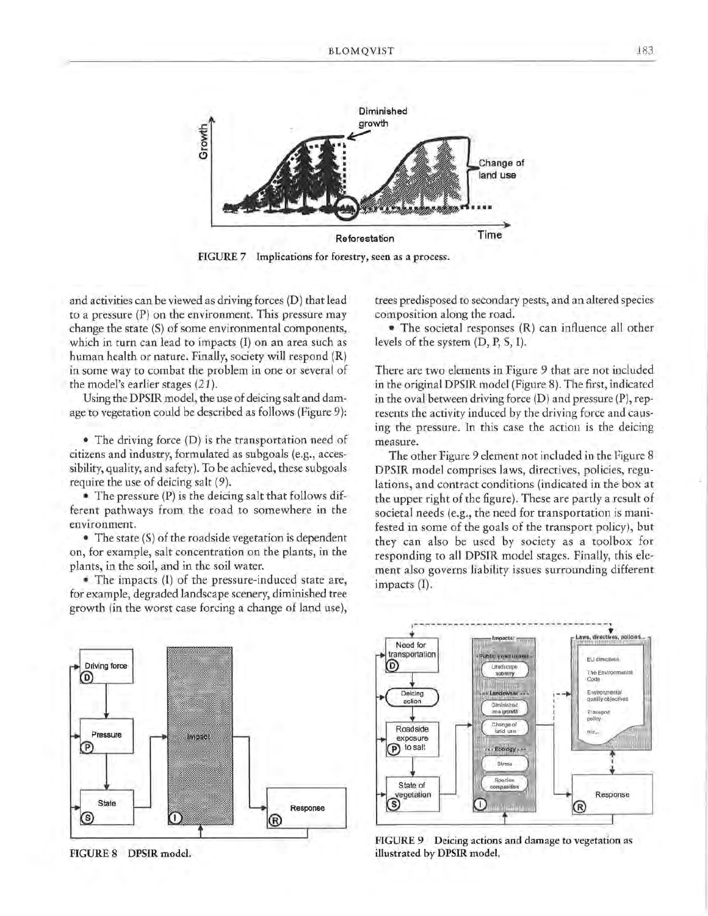

FIGURE 7 Implications for forestry, seen as a process.

and activities can be viewed as driving forces (D) that lead to a pressure (P) on the environment. This pressure may change the state (S) of some environmental components, which in turn can lead to impacts (I) on an area such as human health or nature. Finally, society will respond (R) in some way to combat the problem in one or several of the model's earlier stages (21 ).

Using the DPSIR model, the use of deicing salt and damage to vegetation could be described as follows (Figure 9):

• The driving force (D) is the transportation need of citizens and industry, formulated as subgoals (e.g., accessibility, quality, and safety). To be achieved, these subgoals require the use of deicing salt (9).

• The pressure (P) is the deicing salt that follows different pathways from the road to somewhere in the environment.

• The state (S) of the roadside vegetation is dependent on, for example, salt concentration on the plants, in the plants, in the soil, and in the soil water.

• The impacts (I) of the pressure-induced state are, for example, degraded landscape scenery, diminished tree growth (in the worst case forcing a change of land use),



**FIGURE 8 DPSIR model.** 

trees predisposed to secondary pests, and an altered species composition along the road.

• The societal responses **(R)** can influence all other levels of the system (D, P, S, I).

There are two elements in Figure 9 that are not included in the original DPSIR model (Figure 8). The first, indicated in the oval between driving force (D) and pressure (P), represents the activity induced by the driving force and causing the pressure. In this case the action is the deicing measure.

The other Figure 9 element not included in the Figure 8 **DPSIR** model comprises laws, directives, policies, regulations, and contract conditions (indicated in the box at the upper right of the figure). These are partly a result of societal needs (e.g., the need for transportation is manifested in some of the goals of the transport policy), but they can also be used by society as a toolbox for responding to all DPSIR model stages. Finally, this element also governs liability issues surrounding different impacts (I).



**FIGURE 9 Deicing actions and damage to vegetation as illustrated by DPSIR model.**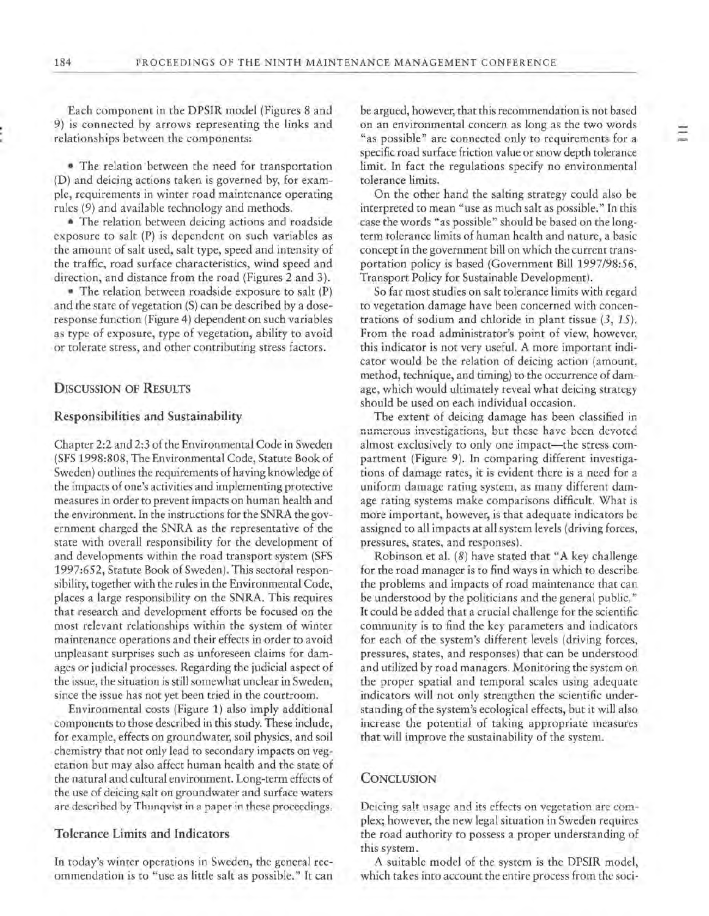Each component in the DPSIR model (Figures 8 and 9) is connected by arrows representing the links and relationships between the components:

• The relation· between the need for transportation (D) and deicing actions taken is governed by, for example, requirements in winter road maintenance operating rules (9) and available technology and methods.

• The relation between deicing actions and roadside exposure to salt (P) is dependent on such variables as the amount of salt used, salt type, speed and intensity of the traffic, road surface characteristics, wind speed and direction, and distance from the road (Figures 2 and 3).

• The relation between roadside exposure to salt (P) and the state of vegetation (S) can be described by a doseresponse function (Figure 4) dependent on such variables as type of exposure, type of vegetation, ability to avoid or tolerate stress, and other contributing stress factors.

#### **DISCUSSION OF RESULTS**

# **Responsibilities and Sustainability**

Chapter 2:2 and 2:3 of the Environmental Code in Sweden (SFS 1998:808, The Environmental Code, Statute Book of Sweden) outlines the requirements of having knowledge of the impacts of one's activities and implementing protective measures in order to prevent impacts on human health and the environment. In the instructions for the SNRA the government charged the SNRA as the representative of the state with overall responsibility for the development of and developments within the road transport system (SFS 1997:652, Statute Book of Sweden). This sectoral responsibility, together with the rules in the Environmental Code, places a large responsibility on the SNRA. This requires that research and development efforts be focused on the most relevant relationships within the system of winter maintenance operations and their effects in order to avoid unpleasant surprises such as unforeseen claims for damages or judicial processes. Regarding the judicial aspect of the issue, the situation is still somewhat unclear in Sweden, since the issue has not yet been tried in the courtroom.

Environmental costs (Figure 1) also imply additional components to those described in this study. These include, for example, effects on groundwater, soil physics, and soil chemistry that not only lead to secondary impacts on vegetation but may aiso affect human heaith and the state of the natural and cultural environment. Long-term effects of the use of deicing salt on groundwater and surface waters are described by Thunqvist in a paper in these proceedings.

# **Tolerance Limits and Indicators**

In today's winter operations in Sweden, the general recommendation is to "use as little salt as possible." It can be argued, however, that this recommendation is not based on an environmental concern as long as the two words "as possible" are connected only to requirements for a specific road surface friction value or snow depth tolerance limit. In fact the regulations specify no environmental tolerance limits.

On the other hand the salting strategy could also be interpreted to mean "use as much salt as possible." In this case the words "as possible" should be based on the longterm tolerance limits of human health and nature, a basic concept in the government bill on which the current transportation policy is based (Government Bill 1997/98:56, Transport Policy for Sustainable Development).

So far most studies on salt tolerance limits with regard to vegetation damage have been concerned with concentrations of sodium and chloride in plant tissue (3, 15). From the road administrator's point of view, however, this indicator is not very useful. A more important indicator would be the relation of deicing action (amount, method, technique, and timing) to the occurrence of damage, which would ultimately reveal what deicing strategy should be used on each individual occasion.

The extent of deicing damage has been classified in **numerous investigations, but these have been devoted**  almost exclusively to only one impact-the stress compartment (Figure 9). In comparing different investigations of damage rates, it is evident there is a need for a uniform damage rating system, as many different damage rating systems make comparisons difficult. What is more important, however, is that adequate indicators be assigned to all impacts at all system levels (driving forces, pressures, states, and responses).

Robinson et al. (8) have stated that "A key challenge for the road manager is to find ways in which to describe the problems and impacts of road maintenance that can be understood by the politicians and the general public." It could be added that a crucial challenge for the scientific community is to find the key parameters and indicators for each of the system's different levels (driving forces, pressures, states, and responses) that can be understood and utilized by road managers. Monitoring the system on the proper spatial and temporal scales using adequate indicators will not only strengthen the scientific understanding of the system's ecological effects, but it will also increase the potential of taking appropriate measures that will improve the sustainability of the system.

#### **CONCLUSION**

Deicing salt usage and its effects on vegetation are complex; however, the new legal situation in Sweden requires the road authority to possess a proper understanding of this system.

A suitable model of the system is the DPSIR model, which takes into account the entire process from the soci